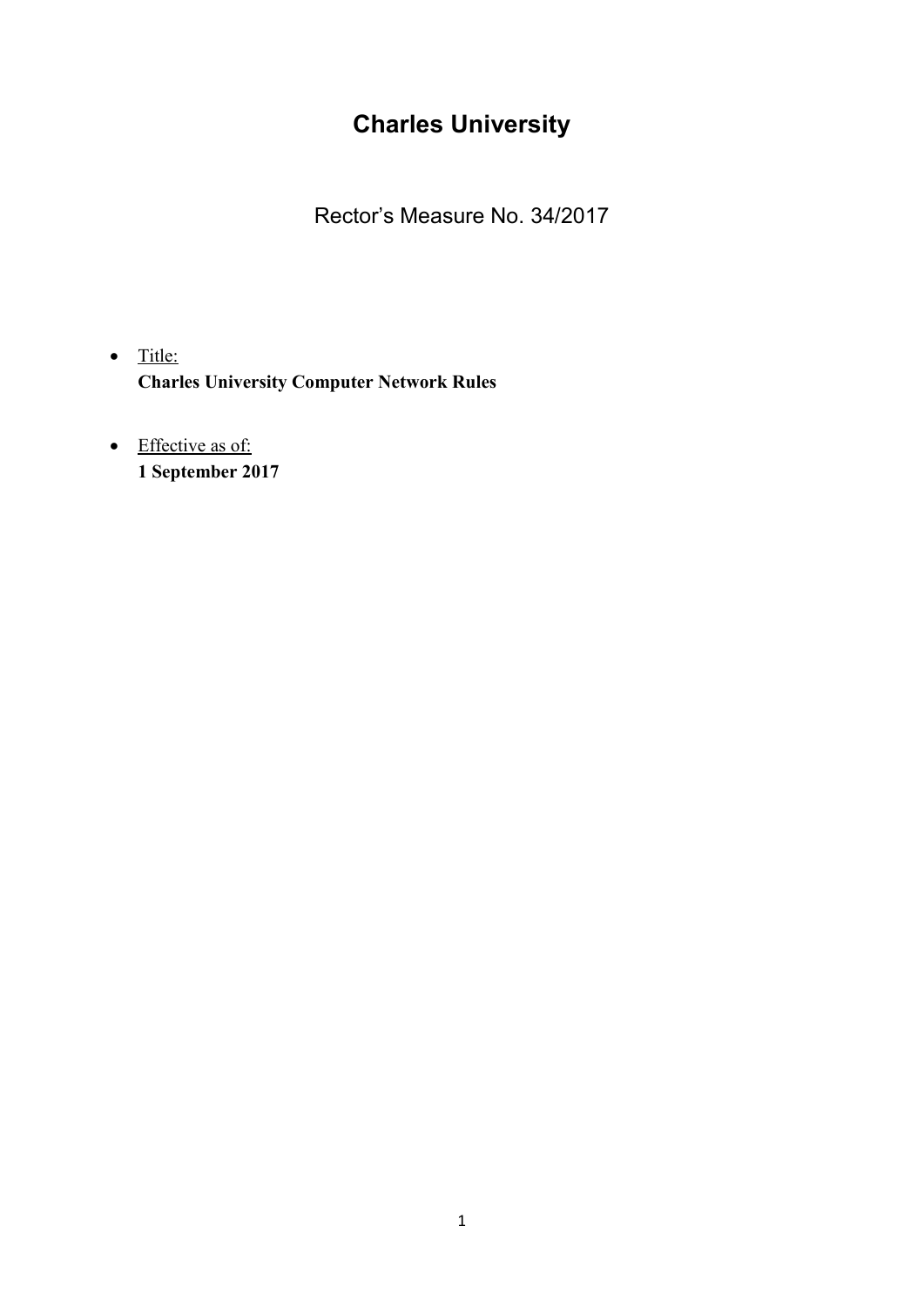# **Charles University**

Rector's Measure No. 34/2017

- $\bullet$  Title: **Charles University Computer Network Rules**
- Effective as of: **1 September 2017**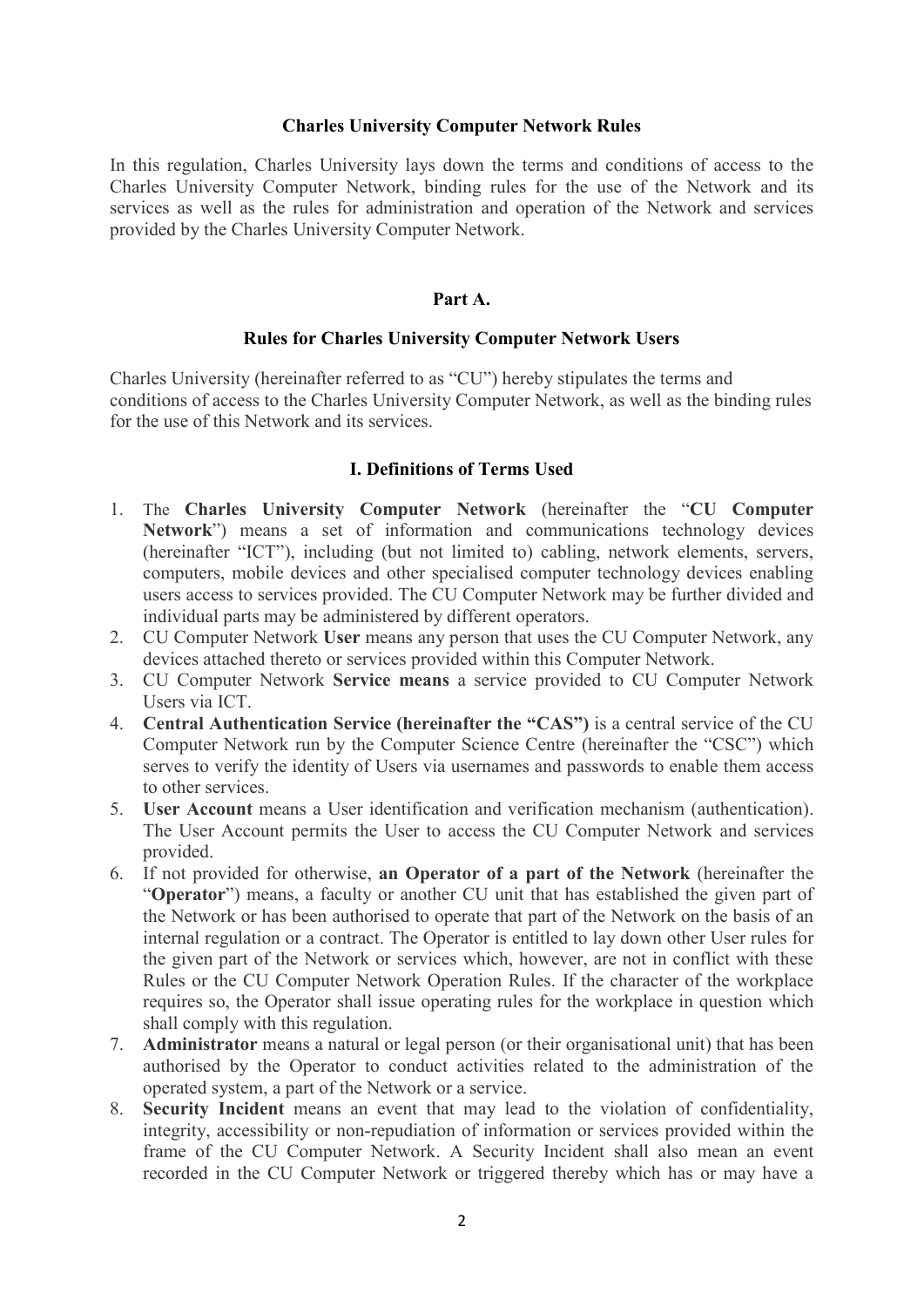## **Charles University Computer Network Rules**

In this regulation, Charles University lays down the terms and conditions of access to the Charles University Computer Network, binding rules for the use of the Network and its services as well as the rules for administration and operation of the Network and services provided by the Charles University Computer Network.

## **Part A.**

## **Rules for Charles University Computer Network Users**

Charles University (hereinafter referred to as "CU") hereby stipulates the terms and conditions of access to the Charles University Computer Network, as well as the binding rules for the use of this Network and its services.

## **I. Definitions of Terms Used**

- 1. The **Charles University Computer Network** (hereinafter the "**CU Computer Network**") means a set of information and communications technology devices (hereinafter "ICT"), including (but not limited to) cabling, network elements, servers, computers, mobile devices and other specialised computer technology devices enabling users access to services provided. The CU Computer Network may be further divided and individual parts may be administered by different operators.
- 2. CU Computer Network **User** means any person that uses the CU Computer Network, any devices attached thereto or services provided within this Computer Network.
- 3. CU Computer Network **Service means** a service provided to CU Computer Network Users via ICT.
- 4. **Central Authentication Service (hereinafter the "CAS")** is a central service of the CU Computer Network run by the Computer Science Centre (hereinafter the "CSC") which serves to verify the identity of Users via usernames and passwords to enable them access to other services.
- 5. **User Account** means a User identification and verification mechanism (authentication). The User Account permits the User to access the CU Computer Network and services provided.
- 6. If not provided for otherwise, **an Operator of a part of the Network** (hereinafter the "**Operator**") means, a faculty or another CU unit that has established the given part of the Network or has been authorised to operate that part of the Network on the basis of an internal regulation or a contract. The Operator is entitled to lay down other User rules for the given part of the Network or services which, however, are not in conflict with these Rules or the CU Computer Network Operation Rules. If the character of the workplace requires so, the Operator shall issue operating rules for the workplace in question which shall comply with this regulation.
- 7. **Administrator** means a natural or legal person (or their organisational unit) that has been authorised by the Operator to conduct activities related to the administration of the operated system, a part of the Network or a service.
- 8. **Security Incident** means an event that may lead to the violation of confidentiality, integrity, accessibility or non-repudiation of information or services provided within the frame of the CU Computer Network. A Security Incident shall also mean an event recorded in the CU Computer Network or triggered thereby which has or may have a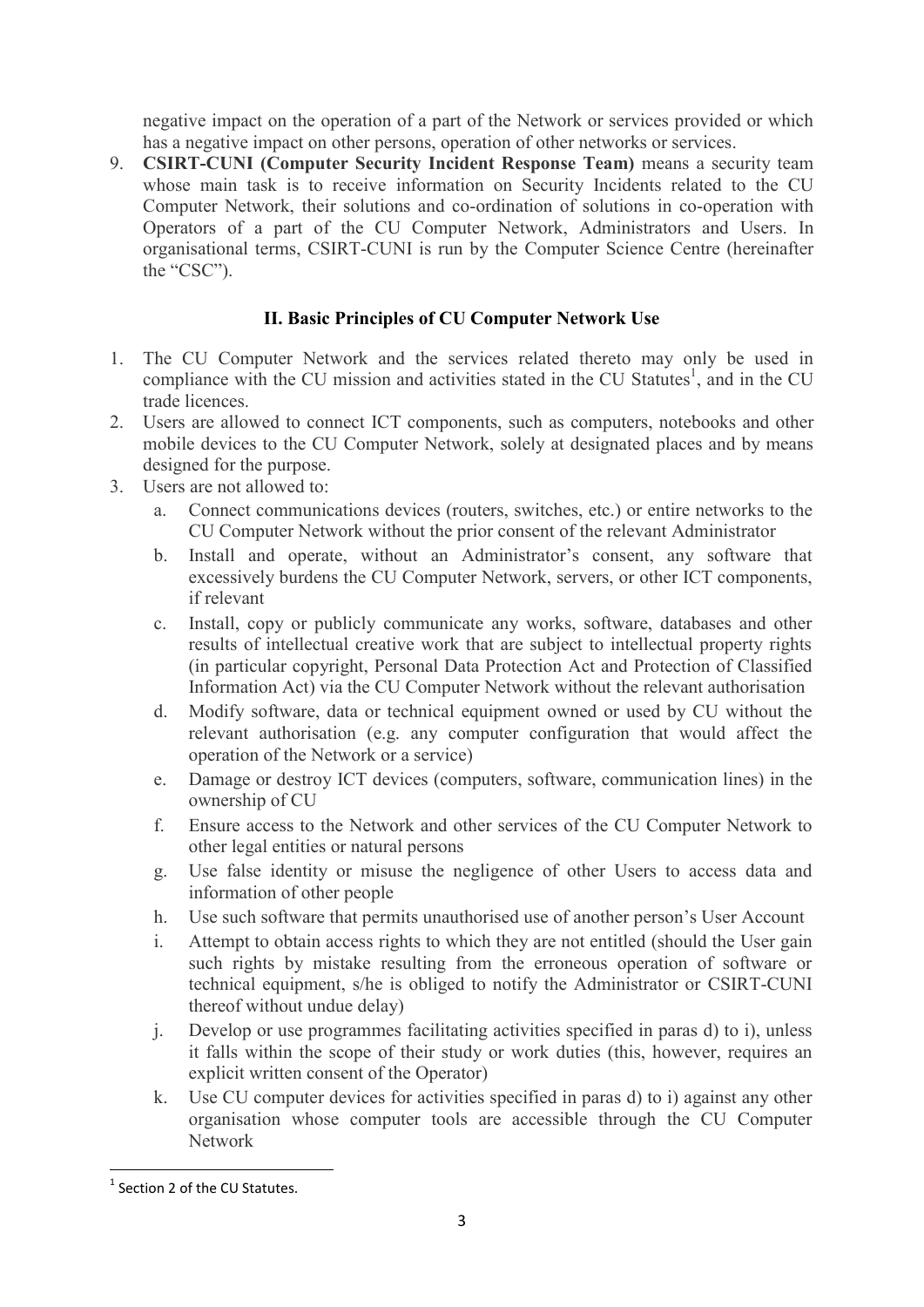negative impact on the operation of a part of the Network or services provided or which has a negative impact on other persons, operation of other networks or services.

9. **CSIRT-CUNI (Computer Security Incident Response Team)** means a security team whose main task is to receive information on Security Incidents related to the CU Computer Network, their solutions and co-ordination of solutions in co-operation with Operators of a part of the CU Computer Network, Administrators and Users. In organisational terms, CSIRT-CUNI is run by the Computer Science Centre (hereinafter the "CSC").

# **II. Basic Principles of CU Computer Network Use**

- 1. The CU Computer Network and the services related thereto may only be used in compliance with the CU mission and activities stated in the CU Statutes<sup>1</sup>, and in the CU trade licences.
- 2. Users are allowed to connect ICT components, such as computers, notebooks and other mobile devices to the CU Computer Network, solely at designated places and by means designed for the purpose.
- 3. Users are not allowed to:
	- a. Connect communications devices (routers, switches, etc.) or entire networks to the CU Computer Network without the prior consent of the relevant Administrator
	- b. Install and operate, without an Administrator's consent, any software that excessively burdens the CU Computer Network, servers, or other ICT components, if relevant
	- c. Install, copy or publicly communicate any works, software, databases and other results of intellectual creative work that are subject to intellectual property rights (in particular copyright, Personal Data Protection Act and Protection of Classified Information Act) via the CU Computer Network without the relevant authorisation
	- d. Modify software, data or technical equipment owned or used by CU without the relevant authorisation (e.g. any computer configuration that would affect the operation of the Network or a service)
	- e. Damage or destroy ICT devices (computers, software, communication lines) in the ownership of CU
	- f. Ensure access to the Network and other services of the CU Computer Network to other legal entities or natural persons
	- g. Use false identity or misuse the negligence of other Users to access data and information of other people
	- h. Use such software that permits unauthorised use of another person's User Account
	- i. Attempt to obtain access rights to which they are not entitled (should the User gain such rights by mistake resulting from the erroneous operation of software or technical equipment, s/he is obliged to notify the Administrator or CSIRT-CUNI thereof without undue delay)
	- j. Develop or use programmes facilitating activities specified in paras d) to i), unless it falls within the scope of their study or work duties (this, however, requires an explicit written consent of the Operator)
	- k. Use CU computer devices for activities specified in paras d) to i) against any other organisation whose computer tools are accessible through the CU Computer Network

**.** 

<sup>&</sup>lt;sup>1</sup> Section 2 of the CU Statutes.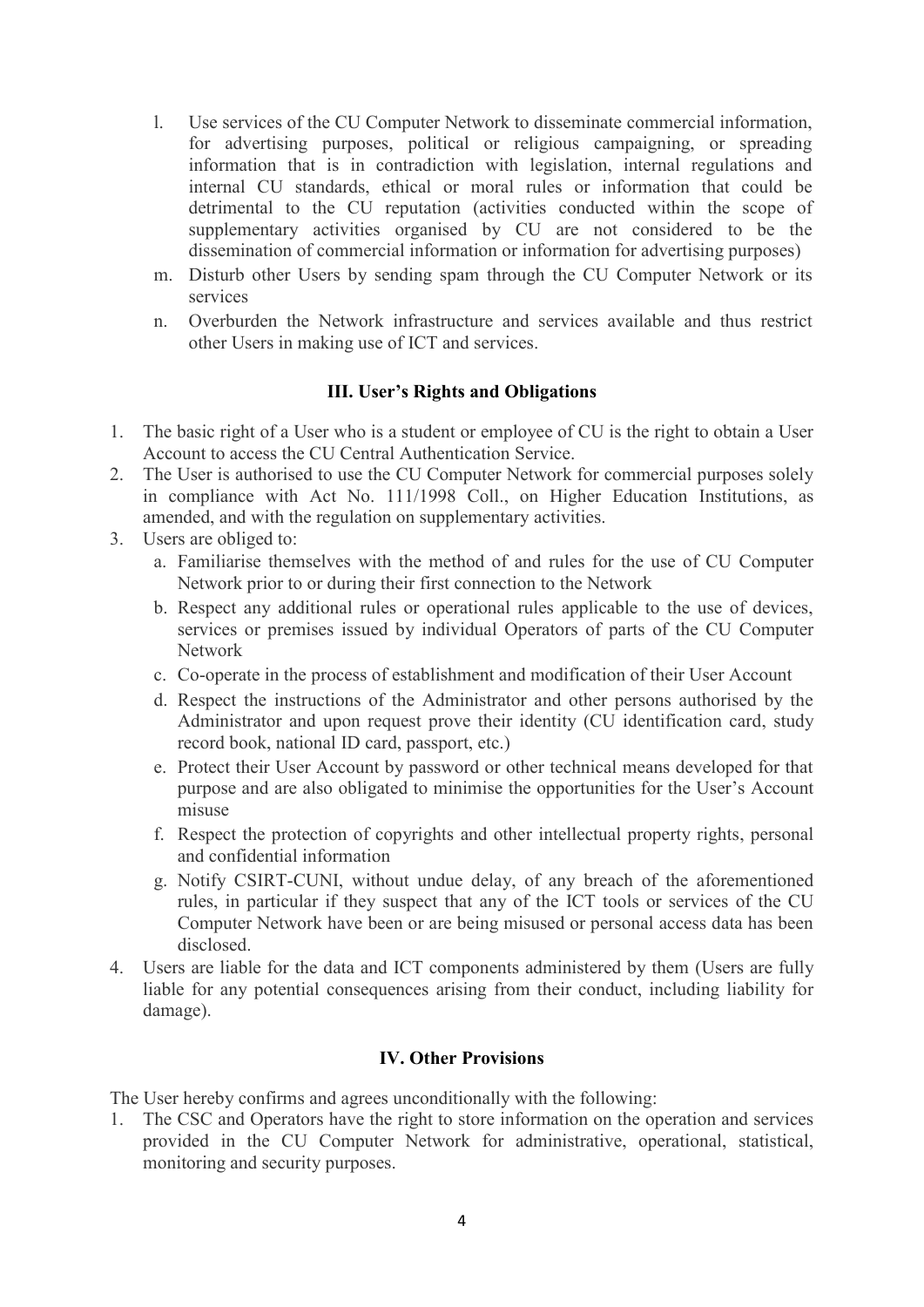- l. Use services of the CU Computer Network to disseminate commercial information, for advertising purposes, political or religious campaigning, or spreading information that is in contradiction with legislation, internal regulations and internal CU standards, ethical or moral rules or information that could be detrimental to the CU reputation (activities conducted within the scope of supplementary activities organised by CU are not considered to be the dissemination of commercial information or information for advertising purposes)
- m. Disturb other Users by sending spam through the CU Computer Network or its services
- n. Overburden the Network infrastructure and services available and thus restrict other Users in making use of ICT and services.

## **III. User's Rights and Obligations**

- 1. The basic right of a User who is a student or employee of CU is the right to obtain a User Account to access the CU Central Authentication Service.
- 2. The User is authorised to use the CU Computer Network for commercial purposes solely in compliance with Act No. 111/1998 Coll., on Higher Education Institutions, as amended, and with the regulation on supplementary activities.
- 3. Users are obliged to:
	- a. Familiarise themselves with the method of and rules for the use of CU Computer Network prior to or during their first connection to the Network
	- b. Respect any additional rules or operational rules applicable to the use of devices, services or premises issued by individual Operators of parts of the CU Computer Network
	- c. Co-operate in the process of establishment and modification of their User Account
	- d. Respect the instructions of the Administrator and other persons authorised by the Administrator and upon request prove their identity (CU identification card, study record book, national ID card, passport, etc.)
	- e. Protect their User Account by password or other technical means developed for that purpose and are also obligated to minimise the opportunities for the User's Account misuse
	- f. Respect the protection of copyrights and other intellectual property rights, personal and confidential information
	- g. Notify CSIRT-CUNI, without undue delay, of any breach of the aforementioned rules, in particular if they suspect that any of the ICT tools or services of the CU Computer Network have been or are being misused or personal access data has been disclosed.
- 4. Users are liable for the data and ICT components administered by them (Users are fully liable for any potential consequences arising from their conduct, including liability for damage).

## **IV. Other Provisions**

The User hereby confirms and agrees unconditionally with the following:

1. The CSC and Operators have the right to store information on the operation and services provided in the CU Computer Network for administrative, operational, statistical, monitoring and security purposes.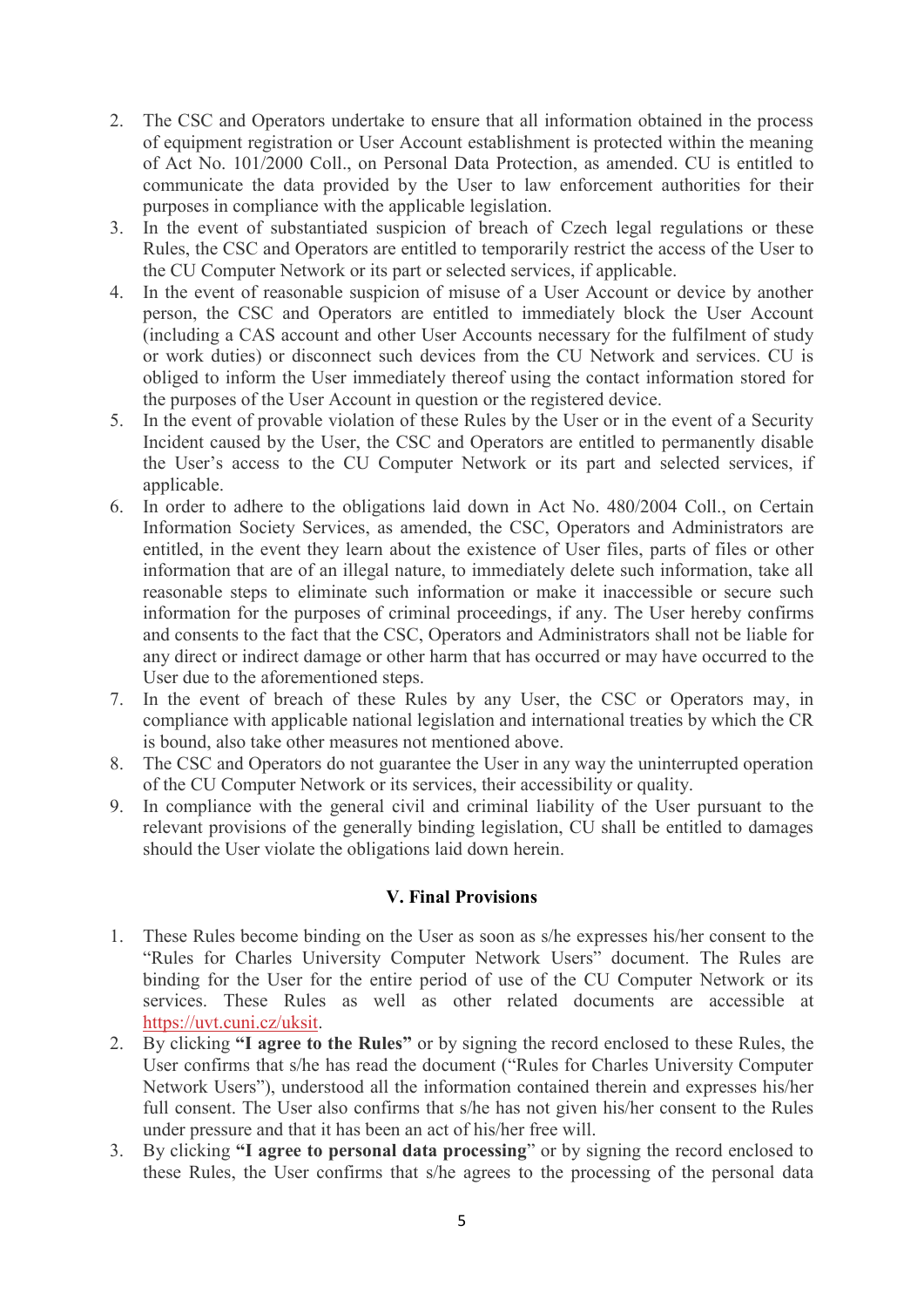- 2. The CSC and Operators undertake to ensure that all information obtained in the process of equipment registration or User Account establishment is protected within the meaning of Act No. 101/2000 Coll., on Personal Data Protection, as amended. CU is entitled to communicate the data provided by the User to law enforcement authorities for their purposes in compliance with the applicable legislation.
- 3. In the event of substantiated suspicion of breach of Czech legal regulations or these Rules, the CSC and Operators are entitled to temporarily restrict the access of the User to the CU Computer Network or its part or selected services, if applicable.
- 4. In the event of reasonable suspicion of misuse of a User Account or device by another person, the CSC and Operators are entitled to immediately block the User Account (including a CAS account and other User Accounts necessary for the fulfilment of study or work duties) or disconnect such devices from the CU Network and services. CU is obliged to inform the User immediately thereof using the contact information stored for the purposes of the User Account in question or the registered device.
- 5. In the event of provable violation of these Rules by the User or in the event of a Security Incident caused by the User, the CSC and Operators are entitled to permanently disable the User's access to the CU Computer Network or its part and selected services, if applicable.
- 6. In order to adhere to the obligations laid down in Act No. 480/2004 Coll., on Certain Information Society Services, as amended, the CSC, Operators and Administrators are entitled, in the event they learn about the existence of User files, parts of files or other information that are of an illegal nature, to immediately delete such information, take all reasonable steps to eliminate such information or make it inaccessible or secure such information for the purposes of criminal proceedings, if any. The User hereby confirms and consents to the fact that the CSC, Operators and Administrators shall not be liable for any direct or indirect damage or other harm that has occurred or may have occurred to the User due to the aforementioned steps.
- 7. In the event of breach of these Rules by any User, the CSC or Operators may, in compliance with applicable national legislation and international treaties by which the CR is bound, also take other measures not mentioned above.
- 8. The CSC and Operators do not guarantee the User in any way the uninterrupted operation of the CU Computer Network or its services, their accessibility or quality.
- 9. In compliance with the general civil and criminal liability of the User pursuant to the relevant provisions of the generally binding legislation, CU shall be entitled to damages should the User violate the obligations laid down herein.

## **V. Final Provisions**

- 1. These Rules become binding on the User as soon as s/he expresses his/her consent to the "Rules for Charles University Computer Network Users" document. The Rules are binding for the User for the entire period of use of the CU Computer Network or its services. These Rules as well as other related documents are accessible at [https://uvt.cuni.cz/uksit.](https://uvt.cuni.cz/uksit)
- 2. By clicking **"I agree to the Rules"** or by signing the record enclosed to these Rules, the User confirms that s/he has read the document ("Rules for Charles University Computer Network Users"), understood all the information contained therein and expresses his/her full consent. The User also confirms that s/he has not given his/her consent to the Rules under pressure and that it has been an act of his/her free will.
- 3. By clicking **"I agree to personal data processing**" or by signing the record enclosed to these Rules, the User confirms that s/he agrees to the processing of the personal data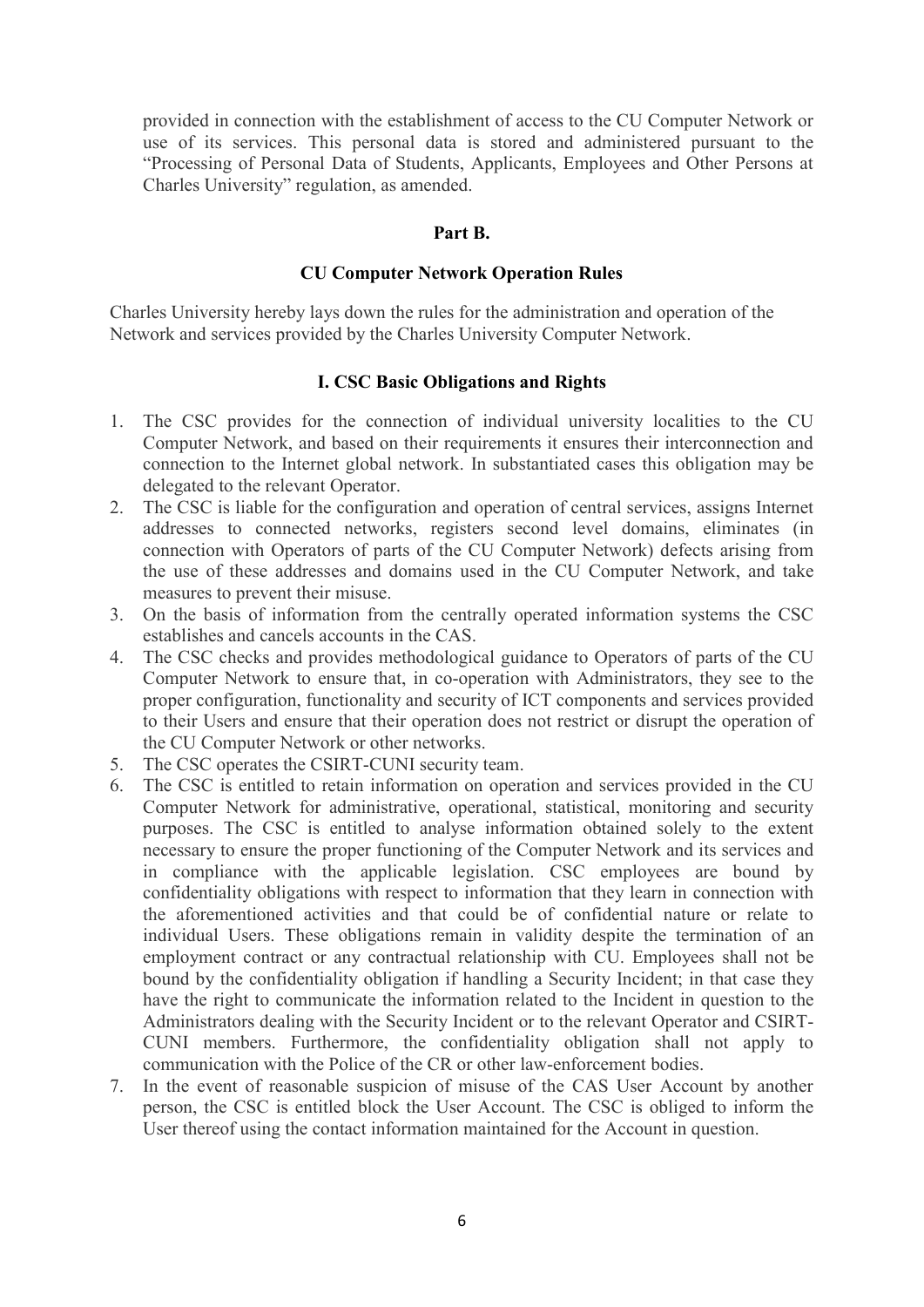provided in connection with the establishment of access to the CU Computer Network or use of its services. This personal data is stored and administered pursuant to the "Processing of Personal Data of Students, Applicants, Employees and Other Persons at Charles University" regulation, as amended.

## **Part B.**

## **CU Computer Network Operation Rules**

Charles University hereby lays down the rules for the administration and operation of the Network and services provided by the Charles University Computer Network.

## **I. CSC Basic Obligations and Rights**

- 1. The CSC provides for the connection of individual university localities to the CU Computer Network, and based on their requirements it ensures their interconnection and connection to the Internet global network. In substantiated cases this obligation may be delegated to the relevant Operator.
- 2. The CSC is liable for the configuration and operation of central services, assigns Internet addresses to connected networks, registers second level domains, eliminates (in connection with Operators of parts of the CU Computer Network) defects arising from the use of these addresses and domains used in the CU Computer Network, and take measures to prevent their misuse.
- 3. On the basis of information from the centrally operated information systems the CSC establishes and cancels accounts in the CAS.
- 4. The CSC checks and provides methodological guidance to Operators of parts of the CU Computer Network to ensure that, in co-operation with Administrators, they see to the proper configuration, functionality and security of ICT components and services provided to their Users and ensure that their operation does not restrict or disrupt the operation of the CU Computer Network or other networks.
- 5. The CSC operates the CSIRT-CUNI security team.
- 6. The CSC is entitled to retain information on operation and services provided in the CU Computer Network for administrative, operational, statistical, monitoring and security purposes. The CSC is entitled to analyse information obtained solely to the extent necessary to ensure the proper functioning of the Computer Network and its services and in compliance with the applicable legislation. CSC employees are bound by confidentiality obligations with respect to information that they learn in connection with the aforementioned activities and that could be of confidential nature or relate to individual Users. These obligations remain in validity despite the termination of an employment contract or any contractual relationship with CU. Employees shall not be bound by the confidentiality obligation if handling a Security Incident; in that case they have the right to communicate the information related to the Incident in question to the Administrators dealing with the Security Incident or to the relevant Operator and CSIRT-CUNI members. Furthermore, the confidentiality obligation shall not apply to communication with the Police of the CR or other law-enforcement bodies.
- 7. In the event of reasonable suspicion of misuse of the CAS User Account by another person, the CSC is entitled block the User Account. The CSC is obliged to inform the User thereof using the contact information maintained for the Account in question.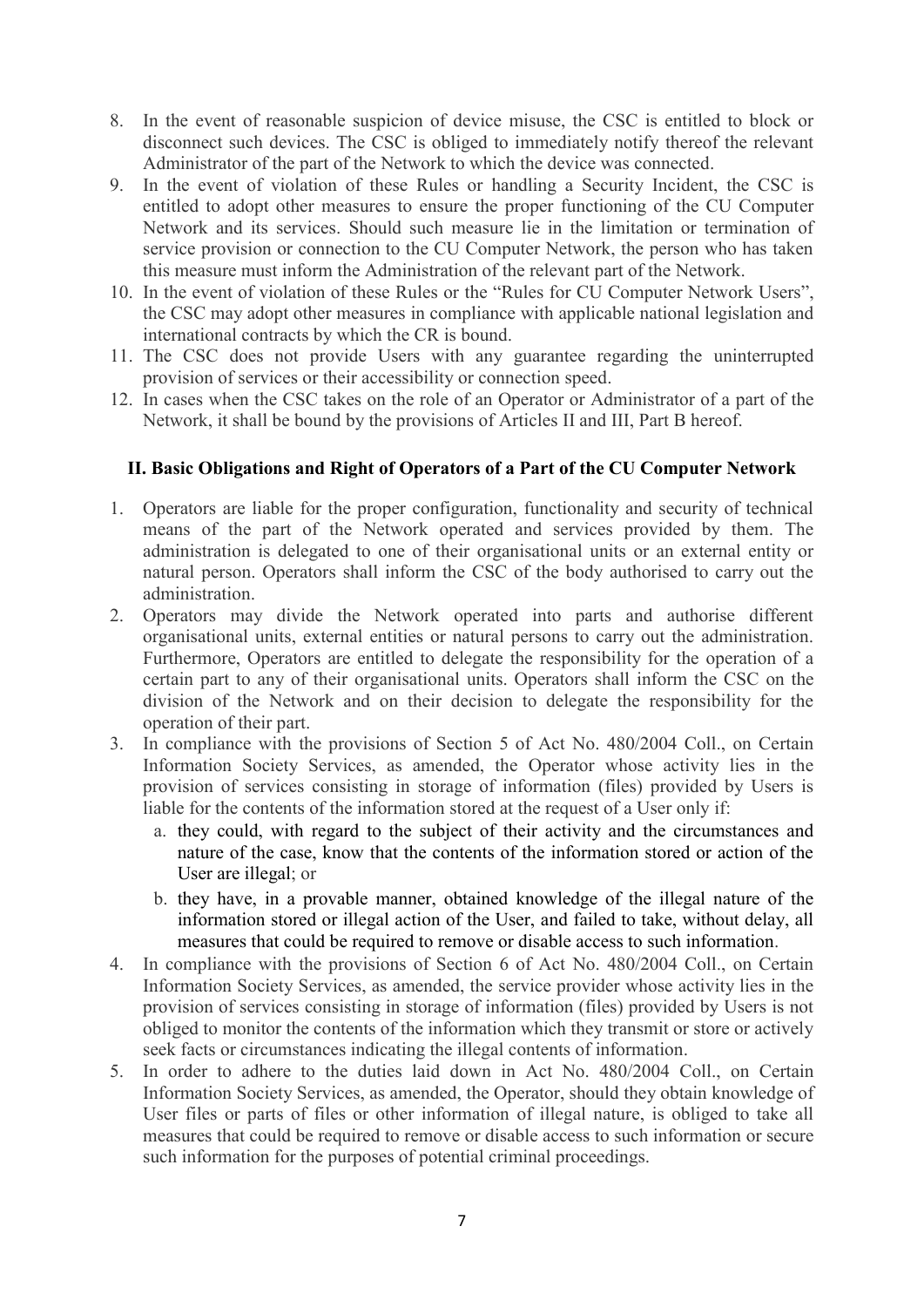- 8. In the event of reasonable suspicion of device misuse, the CSC is entitled to block or disconnect such devices. The CSC is obliged to immediately notify thereof the relevant Administrator of the part of the Network to which the device was connected.
- 9. In the event of violation of these Rules or handling a Security Incident, the CSC is entitled to adopt other measures to ensure the proper functioning of the CU Computer Network and its services. Should such measure lie in the limitation or termination of service provision or connection to the CU Computer Network, the person who has taken this measure must inform the Administration of the relevant part of the Network.
- 10. In the event of violation of these Rules or the "Rules for CU Computer Network Users", the CSC may adopt other measures in compliance with applicable national legislation and international contracts by which the CR is bound.
- 11. The CSC does not provide Users with any guarantee regarding the uninterrupted provision of services or their accessibility or connection speed.
- 12. In cases when the CSC takes on the role of an Operator or Administrator of a part of the Network, it shall be bound by the provisions of Articles II and III, Part B hereof.

## **II. Basic Obligations and Right of Operators of a Part of the CU Computer Network**

- 1. Operators are liable for the proper configuration, functionality and security of technical means of the part of the Network operated and services provided by them. The administration is delegated to one of their organisational units or an external entity or natural person. Operators shall inform the CSC of the body authorised to carry out the administration.
- 2. Operators may divide the Network operated into parts and authorise different organisational units, external entities or natural persons to carry out the administration. Furthermore, Operators are entitled to delegate the responsibility for the operation of a certain part to any of their organisational units. Operators shall inform the CSC on the division of the Network and on their decision to delegate the responsibility for the operation of their part.
- 3. In compliance with the provisions of Section 5 of Act No. 480/2004 Coll., on Certain Information Society Services, as amended, the Operator whose activity lies in the provision of services consisting in storage of information (files) provided by Users is liable for the contents of the information stored at the request of a User only if:
	- a. they could, with regard to the subject of their activity and the circumstances and nature of the case, know that the contents of the information stored or action of the User are illegal; or
	- b. they have, in a provable manner, obtained knowledge of the illegal nature of the information stored or illegal action of the User, and failed to take, without delay, all measures that could be required to remove or disable access to such information.
- 4. In compliance with the provisions of Section 6 of Act No. 480/2004 Coll., on Certain Information Society Services, as amended, the service provider whose activity lies in the provision of services consisting in storage of information (files) provided by Users is not obliged to monitor the contents of the information which they transmit or store or actively seek facts or circumstances indicating the illegal contents of information.
- 5. In order to adhere to the duties laid down in Act No. 480/2004 Coll., on Certain Information Society Services, as amended, the Operator, should they obtain knowledge of User files or parts of files or other information of illegal nature, is obliged to take all measures that could be required to remove or disable access to such information or secure such information for the purposes of potential criminal proceedings.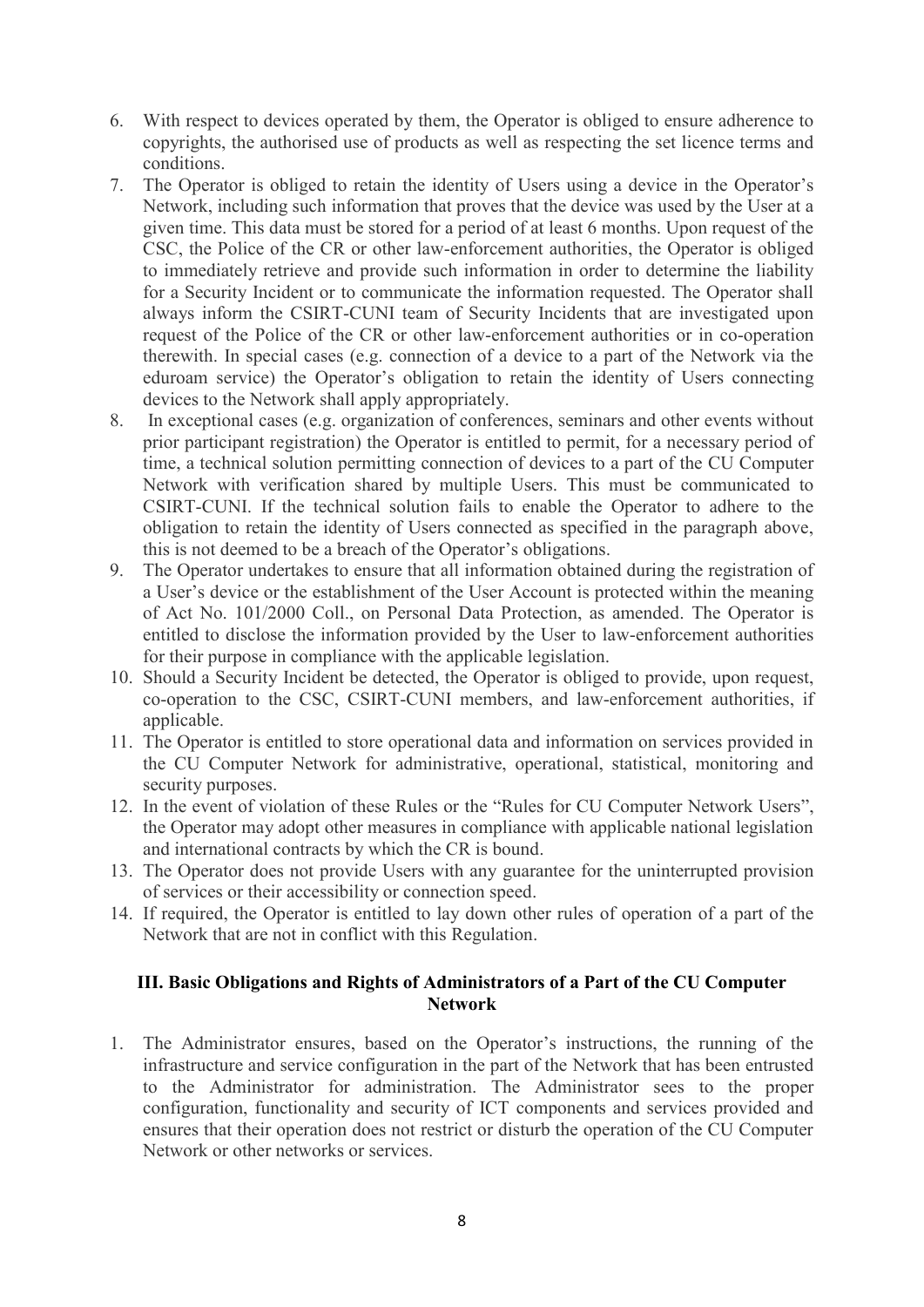- 6. With respect to devices operated by them, the Operator is obliged to ensure adherence to copyrights, the authorised use of products as well as respecting the set licence terms and conditions.
- 7. The Operator is obliged to retain the identity of Users using a device in the Operator's Network, including such information that proves that the device was used by the User at a given time. This data must be stored for a period of at least 6 months. Upon request of the CSC, the Police of the CR or other law-enforcement authorities, the Operator is obliged to immediately retrieve and provide such information in order to determine the liability for a Security Incident or to communicate the information requested. The Operator shall always inform the CSIRT-CUNI team of Security Incidents that are investigated upon request of the Police of the CR or other law-enforcement authorities or in co-operation therewith. In special cases (e.g. connection of a device to a part of the Network via the eduroam service) the Operator's obligation to retain the identity of Users connecting devices to the Network shall apply appropriately.
- 8. In exceptional cases (e.g. organization of conferences, seminars and other events without prior participant registration) the Operator is entitled to permit, for a necessary period of time, a technical solution permitting connection of devices to a part of the CU Computer Network with verification shared by multiple Users. This must be communicated to CSIRT-CUNI. If the technical solution fails to enable the Operator to adhere to the obligation to retain the identity of Users connected as specified in the paragraph above, this is not deemed to be a breach of the Operator's obligations.
- 9. The Operator undertakes to ensure that all information obtained during the registration of a User's device or the establishment of the User Account is protected within the meaning of Act No. 101/2000 Coll., on Personal Data Protection, as amended. The Operator is entitled to disclose the information provided by the User to law-enforcement authorities for their purpose in compliance with the applicable legislation.
- 10. Should a Security Incident be detected, the Operator is obliged to provide, upon request, co-operation to the CSC, CSIRT-CUNI members, and law-enforcement authorities, if applicable.
- 11. The Operator is entitled to store operational data and information on services provided in the CU Computer Network for administrative, operational, statistical, monitoring and security purposes.
- 12. In the event of violation of these Rules or the "Rules for CU Computer Network Users", the Operator may adopt other measures in compliance with applicable national legislation and international contracts by which the CR is bound.
- 13. The Operator does not provide Users with any guarantee for the uninterrupted provision of services or their accessibility or connection speed.
- 14. If required, the Operator is entitled to lay down other rules of operation of a part of the Network that are not in conflict with this Regulation.

## **III. Basic Obligations and Rights of Administrators of a Part of the CU Computer Network**

1. The Administrator ensures, based on the Operator's instructions, the running of the infrastructure and service configuration in the part of the Network that has been entrusted to the Administrator for administration. The Administrator sees to the proper configuration, functionality and security of ICT components and services provided and ensures that their operation does not restrict or disturb the operation of the CU Computer Network or other networks or services.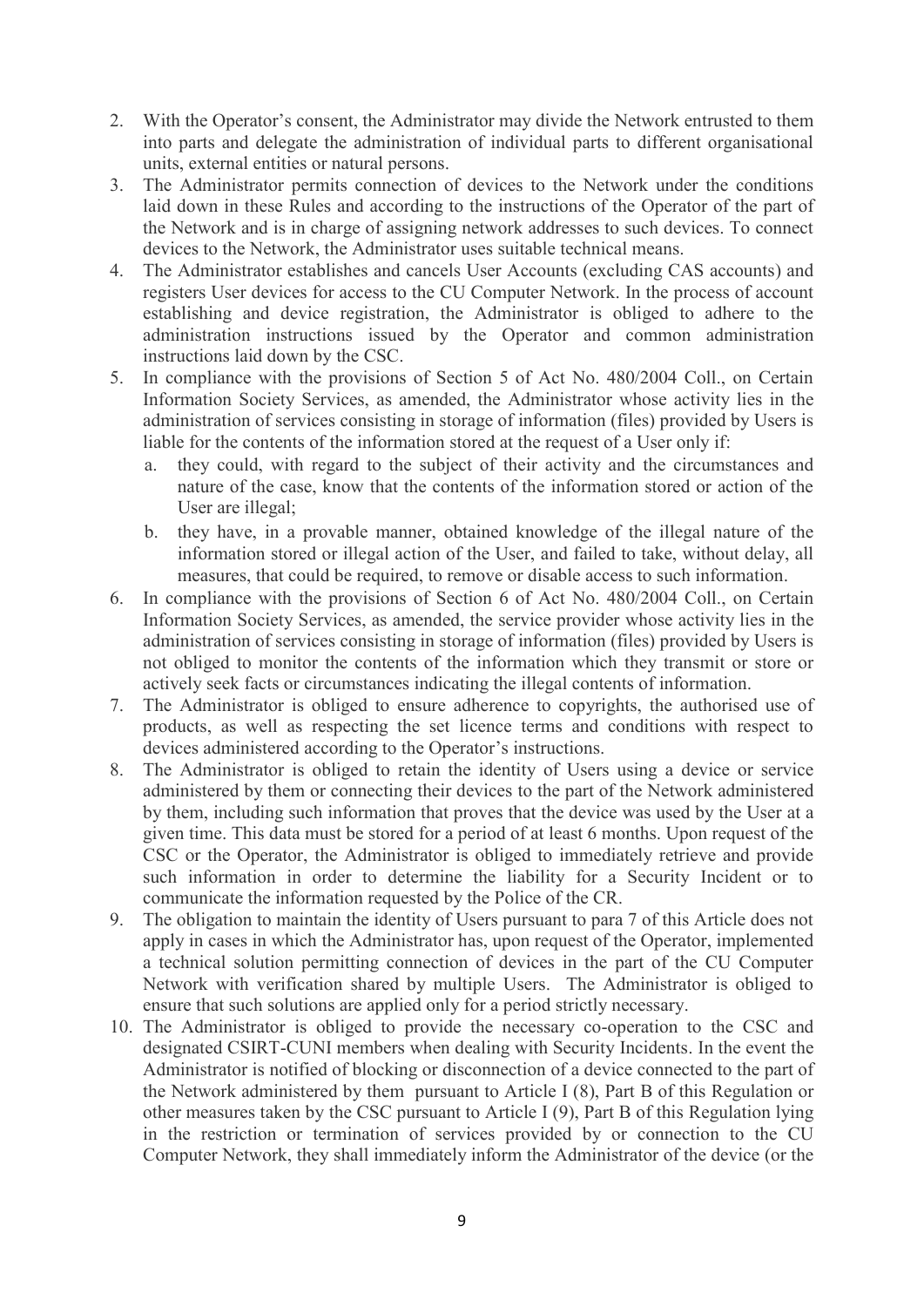- 2. With the Operator's consent, the Administrator may divide the Network entrusted to them into parts and delegate the administration of individual parts to different organisational units, external entities or natural persons.
- 3. The Administrator permits connection of devices to the Network under the conditions laid down in these Rules and according to the instructions of the Operator of the part of the Network and is in charge of assigning network addresses to such devices. To connect devices to the Network, the Administrator uses suitable technical means.
- 4. The Administrator establishes and cancels User Accounts (excluding CAS accounts) and registers User devices for access to the CU Computer Network. In the process of account establishing and device registration, the Administrator is obliged to adhere to the administration instructions issued by the Operator and common administration instructions laid down by the CSC.
- 5. In compliance with the provisions of Section 5 of Act No. 480/2004 Coll., on Certain Information Society Services, as amended, the Administrator whose activity lies in the administration of services consisting in storage of information (files) provided by Users is liable for the contents of the information stored at the request of a User only if:
	- a. they could, with regard to the subject of their activity and the circumstances and nature of the case, know that the contents of the information stored or action of the User are illegal;
	- b. they have, in a provable manner, obtained knowledge of the illegal nature of the information stored or illegal action of the User, and failed to take, without delay, all measures, that could be required, to remove or disable access to such information.
- 6. In compliance with the provisions of Section 6 of Act No. 480/2004 Coll., on Certain Information Society Services, as amended, the service provider whose activity lies in the administration of services consisting in storage of information (files) provided by Users is not obliged to monitor the contents of the information which they transmit or store or actively seek facts or circumstances indicating the illegal contents of information.
- 7. The Administrator is obliged to ensure adherence to copyrights, the authorised use of products, as well as respecting the set licence terms and conditions with respect to devices administered according to the Operator's instructions.
- 8. The Administrator is obliged to retain the identity of Users using a device or service administered by them or connecting their devices to the part of the Network administered by them, including such information that proves that the device was used by the User at a given time. This data must be stored for a period of at least 6 months. Upon request of the CSC or the Operator, the Administrator is obliged to immediately retrieve and provide such information in order to determine the liability for a Security Incident or to communicate the information requested by the Police of the CR.
- 9. The obligation to maintain the identity of Users pursuant to para 7 of this Article does not apply in cases in which the Administrator has, upon request of the Operator, implemented a technical solution permitting connection of devices in the part of the CU Computer Network with verification shared by multiple Users. The Administrator is obliged to ensure that such solutions are applied only for a period strictly necessary.
- 10. The Administrator is obliged to provide the necessary co-operation to the CSC and designated CSIRT-CUNI members when dealing with Security Incidents. In the event the Administrator is notified of blocking or disconnection of a device connected to the part of the Network administered by them pursuant to Article I (8), Part B of this Regulation or other measures taken by the CSC pursuant to Article I (9), Part B of this Regulation lying in the restriction or termination of services provided by or connection to the CU Computer Network, they shall immediately inform the Administrator of the device (or the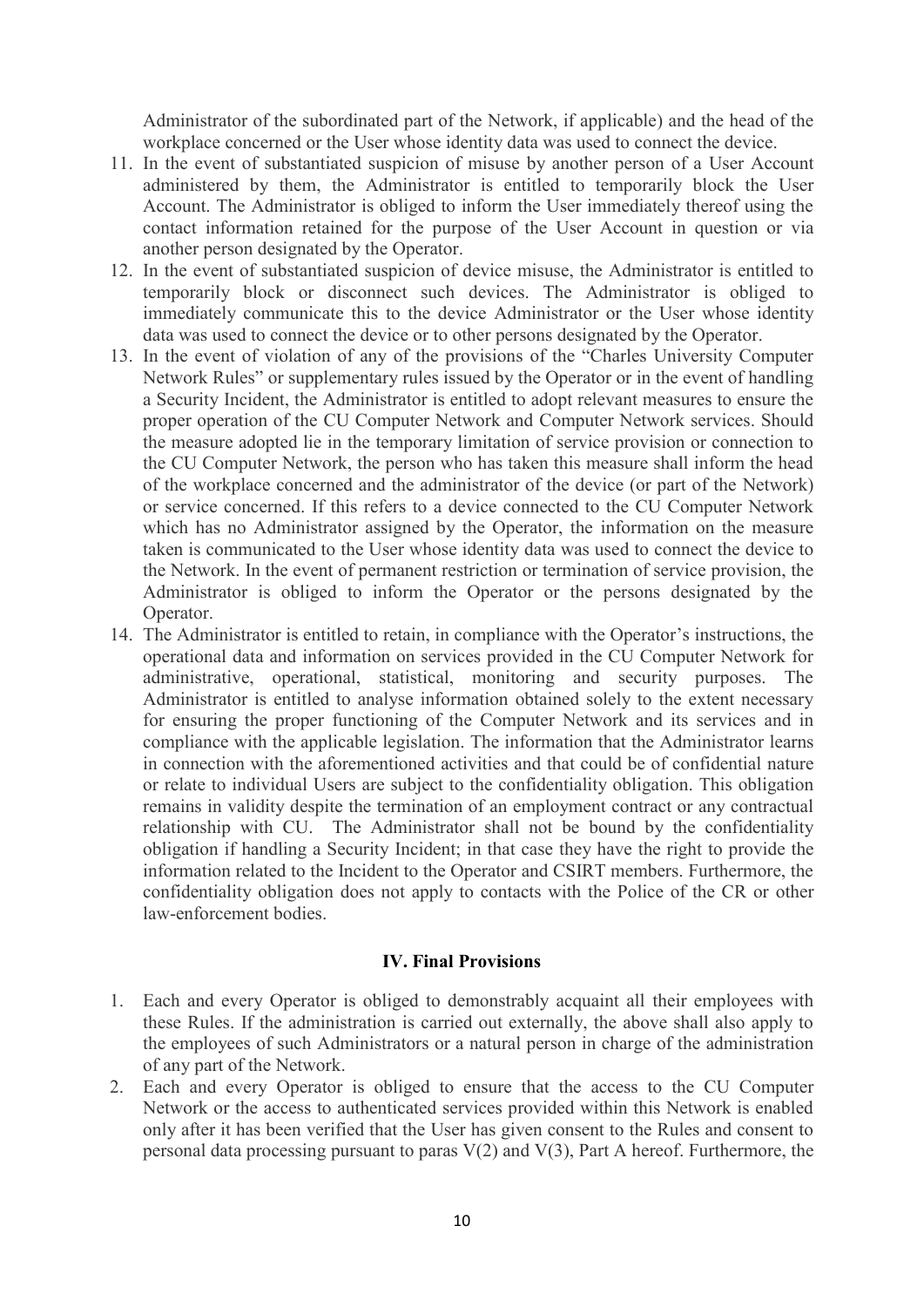Administrator of the subordinated part of the Network, if applicable) and the head of the workplace concerned or the User whose identity data was used to connect the device.

- 11. In the event of substantiated suspicion of misuse by another person of a User Account administered by them, the Administrator is entitled to temporarily block the User Account. The Administrator is obliged to inform the User immediately thereof using the contact information retained for the purpose of the User Account in question or via another person designated by the Operator.
- 12. In the event of substantiated suspicion of device misuse, the Administrator is entitled to temporarily block or disconnect such devices. The Administrator is obliged to immediately communicate this to the device Administrator or the User whose identity data was used to connect the device or to other persons designated by the Operator.
- 13. In the event of violation of any of the provisions of the "Charles University Computer Network Rules" or supplementary rules issued by the Operator or in the event of handling a Security Incident, the Administrator is entitled to adopt relevant measures to ensure the proper operation of the CU Computer Network and Computer Network services. Should the measure adopted lie in the temporary limitation of service provision or connection to the CU Computer Network, the person who has taken this measure shall inform the head of the workplace concerned and the administrator of the device (or part of the Network) or service concerned. If this refers to a device connected to the CU Computer Network which has no Administrator assigned by the Operator, the information on the measure taken is communicated to the User whose identity data was used to connect the device to the Network. In the event of permanent restriction or termination of service provision, the Administrator is obliged to inform the Operator or the persons designated by the Operator.
- 14. The Administrator is entitled to retain, in compliance with the Operator's instructions, the operational data and information on services provided in the CU Computer Network for administrative, operational, statistical, monitoring and security purposes. The Administrator is entitled to analyse information obtained solely to the extent necessary for ensuring the proper functioning of the Computer Network and its services and in compliance with the applicable legislation. The information that the Administrator learns in connection with the aforementioned activities and that could be of confidential nature or relate to individual Users are subject to the confidentiality obligation. This obligation remains in validity despite the termination of an employment contract or any contractual relationship with CU. The Administrator shall not be bound by the confidentiality obligation if handling a Security Incident; in that case they have the right to provide the information related to the Incident to the Operator and CSIRT members. Furthermore, the confidentiality obligation does not apply to contacts with the Police of the CR or other law-enforcement bodies.

## **IV. Final Provisions**

- 1. Each and every Operator is obliged to demonstrably acquaint all their employees with these Rules. If the administration is carried out externally, the above shall also apply to the employees of such Administrators or a natural person in charge of the administration of any part of the Network.
- 2. Each and every Operator is obliged to ensure that the access to the CU Computer Network or the access to authenticated services provided within this Network is enabled only after it has been verified that the User has given consent to the Rules and consent to personal data processing pursuant to paras  $V(2)$  and  $V(3)$ , Part A hereof. Furthermore, the